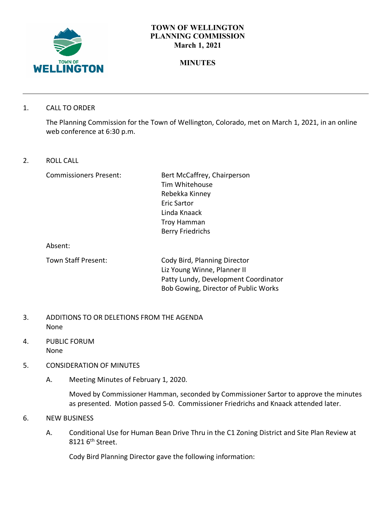

## **TOWN OF WELLINGTON PLANNING COMMISSION March 1, 2021**

# **MINUTES**

1. CALL TO ORDER

The Planning Commission for the Town of Wellington, Colorado, met on March 1, 2021, in an online web conference at 6:30 p.m.

2. ROLL CALL

Commissioners Present: Bert McCaffrey, Chairperson Tim Whitehouse Rebekka Kinney Eric Sartor Linda Knaack Troy Hamman Berry Friedrichs

Absent:

Town Staff Present: Cody Bird, Planning Director Liz Young Winne, Planner II Patty Lundy, Development Coordinator Bob Gowing, Director of Public Works

- 3. ADDITIONS TO OR DELETIONS FROM THE AGENDA None
- 4. PUBLIC FORUM None
- 5. CONSIDERATION OF MINUTES
	- A. Meeting Minutes of February 1, 2020.

Moved by Commissioner Hamman, seconded by Commissioner Sartor to approve the minutes as presented. Motion passed 5-0. Commissioner Friedrichs and Knaack attended later.

- 6. NEW BUSINESS
	- A. Conditional Use for Human Bean Drive Thru in the C1 Zoning District and Site Plan Review at 8121 6<sup>th</sup> Street.

Cody Bird Planning Director gave the following information: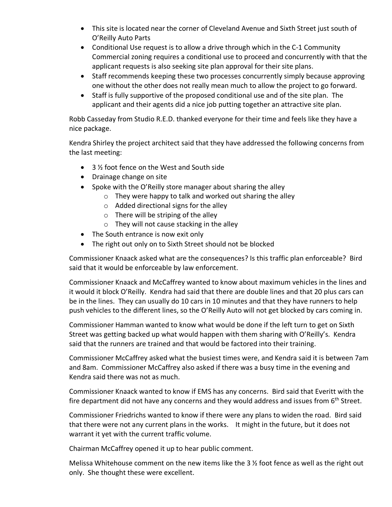- This site is located near the corner of Cleveland Avenue and Sixth Street just south of O'Reilly Auto Parts
- Conditional Use request is to allow a drive through which in the C-1 Community Commercial zoning requires a conditional use to proceed and concurrently with that the applicant requests is also seeking site plan approval for their site plans.
- Staff recommends keeping these two processes concurrently simply because approving one without the other does not really mean much to allow the project to go forward.
- Staff is fully supportive of the proposed conditional use and of the site plan. The applicant and their agents did a nice job putting together an attractive site plan.

Robb Casseday from Studio R.E.D. thanked everyone for their time and feels like they have a nice package.

Kendra Shirley the project architect said that they have addressed the following concerns from the last meeting:

- 3 1/2 foot fence on the West and South side
- Drainage change on site
- Spoke with the O'Reilly store manager about sharing the alley
	- o They were happy to talk and worked out sharing the alley
	- $\circ$  Added directional signs for the alley
	- $\circ$  There will be striping of the alley
	- o They will not cause stacking in the alley
- The South entrance is now exit only
- The right out only on to Sixth Street should not be blocked

Commissioner Knaack asked what are the consequences? Is this traffic plan enforceable? Bird said that it would be enforceable by law enforcement.

Commissioner Knaack and McCaffrey wanted to know about maximum vehicles in the lines and it would it block O'Reilly. Kendra had said that there are double lines and that 20 plus cars can be in the lines. They can usually do 10 cars in 10 minutes and that they have runners to help push vehicles to the different lines, so the O'Reilly Auto will not get blocked by cars coming in.

Commissioner Hamman wanted to know what would be done if the left turn to get on Sixth Street was getting backed up what would happen with them sharing with O'Reilly's. Kendra said that the runners are trained and that would be factored into their training.

Commissioner McCaffrey asked what the busiest times were, and Kendra said it is between 7am and 8am. Commissioner McCaffrey also asked if there was a busy time in the evening and Kendra said there was not as much.

Commissioner Knaack wanted to know if EMS has any concerns. Bird said that Everitt with the fire department did not have any concerns and they would address and issues from  $6<sup>th</sup>$  Street.

Commissioner Friedrichs wanted to know if there were any plans to widen the road. Bird said that there were not any current plans in the works. It might in the future, but it does not warrant it yet with the current traffic volume.

Chairman McCaffrey opened it up to hear public comment.

Melissa Whitehouse comment on the new items like the 3 ½ foot fence as well as the right out only. She thought these were excellent.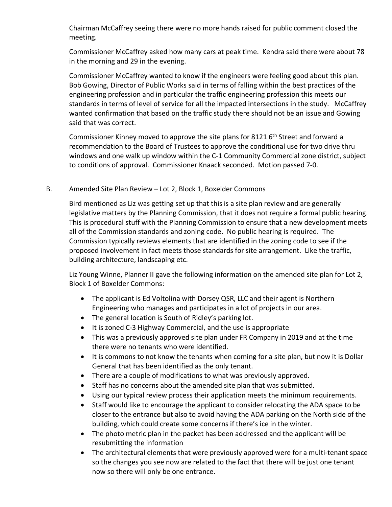Chairman McCaffrey seeing there were no more hands raised for public comment closed the meeting.

Commissioner McCaffrey asked how many cars at peak time. Kendra said there were about 78 in the morning and 29 in the evening.

Commissioner McCaffrey wanted to know if the engineers were feeling good about this plan. Bob Gowing, Director of Public Works said in terms of falling within the best practices of the engineering profession and in particular the traffic engineering profession this meets our standards in terms of level of service for all the impacted intersections in the study. McCaffrey wanted confirmation that based on the traffic study there should not be an issue and Gowing said that was correct.

Commissioner Kinney moved to approve the site plans for 8121 6<sup>th</sup> Street and forward a recommendation to the Board of Trustees to approve the conditional use for two drive thru windows and one walk up window within the C-1 Community Commercial zone district, subject to conditions of approval. Commissioner Knaack seconded. Motion passed 7-0.

#### B. Amended Site Plan Review – Lot 2, Block 1, Boxelder Commons

Bird mentioned as Liz was getting set up that this is a site plan review and are generally legislative matters by the Planning Commission, that it does not require a formal public hearing. This is procedural stuff with the Planning Commission to ensure that a new development meets all of the Commission standards and zoning code. No public hearing is required. The Commission typically reviews elements that are identified in the zoning code to see if the proposed involvement in fact meets those standards for site arrangement. Like the traffic, building architecture, landscaping etc.

Liz Young Winne, Planner II gave the following information on the amended site plan for Lot 2, Block 1 of Boxelder Commons:

- The applicant is Ed Voltolina with Dorsey QSR, LLC and their agent is Northern Engineering who manages and participates in a lot of projects in our area.
- The general location is South of Ridley's parking lot.
- It is zoned C-3 Highway Commercial, and the use is appropriate
- This was a previously approved site plan under FR Company in 2019 and at the time there were no tenants who were identified.
- It is commons to not know the tenants when coming for a site plan, but now it is Dollar General that has been identified as the only tenant.
- There are a couple of modifications to what was previously approved.
- Staff has no concerns about the amended site plan that was submitted.
- Using our typical review process their application meets the minimum requirements.
- Staff would like to encourage the applicant to consider relocating the ADA space to be closer to the entrance but also to avoid having the ADA parking on the North side of the building, which could create some concerns if there's ice in the winter.
- The photo metric plan in the packet has been addressed and the applicant will be resubmitting the information
- The architectural elements that were previously approved were for a multi-tenant space so the changes you see now are related to the fact that there will be just one tenant now so there will only be one entrance.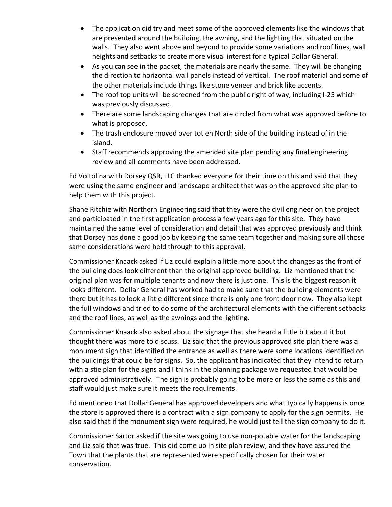- The application did try and meet some of the approved elements like the windows that are presented around the building, the awning, and the lighting that situated on the walls. They also went above and beyond to provide some variations and roof lines, wall heights and setbacks to create more visual interest for a typical Dollar General.
- As you can see in the packet, the materials are nearly the same. They will be changing the direction to horizontal wall panels instead of vertical. The roof material and some of the other materials include things like stone veneer and brick like accents.
- The roof top units will be screened from the public right of way, including I-25 which was previously discussed.
- There are some landscaping changes that are circled from what was approved before to what is proposed.
- The trash enclosure moved over tot eh North side of the building instead of in the island.
- Staff recommends approving the amended site plan pending any final engineering review and all comments have been addressed.

Ed Voltolina with Dorsey QSR, LLC thanked everyone for their time on this and said that they were using the same engineer and landscape architect that was on the approved site plan to help them with this project.

Shane Ritchie with Northern Engineering said that they were the civil engineer on the project and participated in the first application process a few years ago for this site. They have maintained the same level of consideration and detail that was approved previously and think that Dorsey has done a good job by keeping the same team together and making sure all those same considerations were held through to this approval.

Commissioner Knaack asked if Liz could explain a little more about the changes as the front of the building does look different than the original approved building. Liz mentioned that the original plan was for multiple tenants and now there is just one. This is the biggest reason it looks different. Dollar General has worked had to make sure that the building elements were there but it has to look a little different since there is only one front door now. They also kept the full windows and tried to do some of the architectural elements with the different setbacks and the roof lines, as well as the awnings and the lighting.

Commissioner Knaack also asked about the signage that she heard a little bit about it but thought there was more to discuss. Liz said that the previous approved site plan there was a monument sign that identified the entrance as well as there were some locations identified on the buildings that could be for signs. So, the applicant has indicated that they intend to return with a stie plan for the signs and I think in the planning package we requested that would be approved administratively. The sign is probably going to be more or less the same as this and staff would just make sure it meets the requirements.

Ed mentioned that Dollar General has approved developers and what typically happens is once the store is approved there is a contract with a sign company to apply for the sign permits. He also said that if the monument sign were required, he would just tell the sign company to do it.

Commissioner Sartor asked if the site was going to use non-potable water for the landscaping and Liz said that was true. This did come up in site plan review, and they have assured the Town that the plants that are represented were specifically chosen for their water conservation.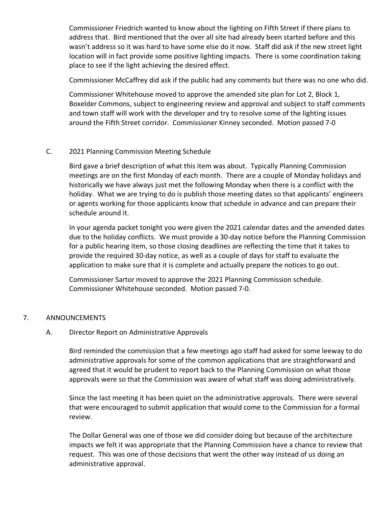Commissioner Friedrich wanted to know about the lighting on Fifth Street if there plans to address that. Bird mentioned that the over all site had already been started before and this wasn't address so it was hard to have some else do it now. Staff did ask if the new street light location will in fact provide some positive lighting impacts. There is some coordination taking place to see if the light achieving the desired effect.

Commissioner McCaffrey did ask if the public had any comments but there was no one who did.

Commissioner Whitehouse moved to approve the amended site plan for Lot 2, Block 1, Boxelder Commons, subject to engineering review and approval and subject to staff comments and town staff will work with the developer and try to resolve some of the lighting issues around the Fifth Street corridor. Commissioner Kinney seconded. Motion passed 7-0

## C. 2021 Planning Commission Meeting Schedule

Bird gave a brief description of what this item was about. Typically Planning Commission meetings are on the first Monday of each month. There are a couple of Monday holidays and historically we have always just met the following Monday when there is a conflict with the holiday. What we are trying to do is publish those meeting dates so that applicants' engineers or agents working for those applicants know that schedule in advance and can prepare their schedule around it.

In your agenda packet tonight you were given the 2021 calendar dates and the amended dates due to the holiday conflicts. We must provide a 30-day notice before the Planning Commission for a public hearing item, so those closing deadlines are reflecting the time that it takes to provide the required 30-day notice, as well as a couple of days for staff to evaluate the application to make sure that it is complete and actually prepare the notices to go out.

Commissioner Sartor moved to approve the 2021 Planning Commission schedule. Commissioner Whitehouse seconded. Motion passed 7-0.

#### 7. ANNOUNCEMENTS

### A. Director Report on Administrative Approvals

Bird reminded the commission that a few meetings ago staff had asked for some leeway to do administrative approvals for some of the common applications that are straightforward and agreed that it would be prudent to report back to the Planning Commission on what those approvals were so that the Commission was aware of what staff was doing administratively.

Since the last meeting it has been quiet on the administrative approvals. There were several that were encouraged to submit application that would come to the Commission for a formal review.

The Dollar General was one of those we did consider doing but because of the architecture impacts we felt it was appropriate that the Planning Commission have a chance to review that request. This was one of those decisions that went the other way instead of us doing an administrative approval.